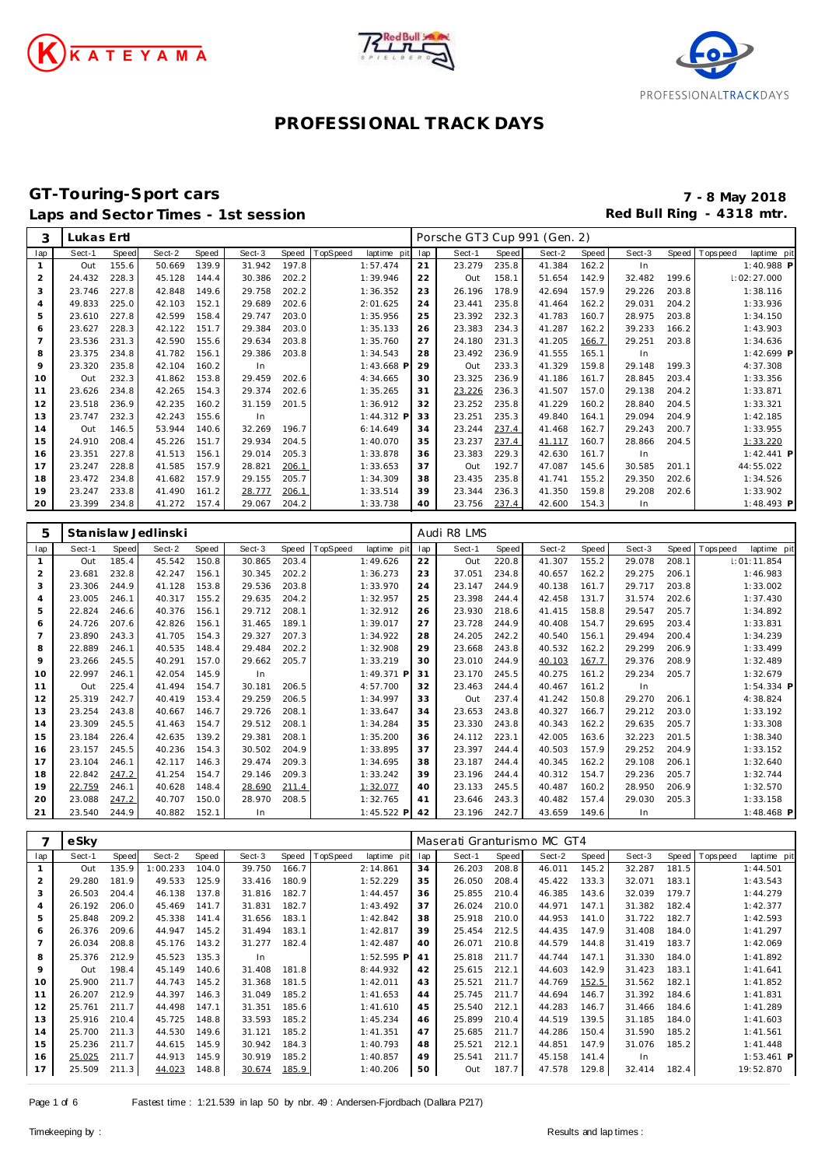





### **GT-Touring-Sport cars 7 - 8 May 2018** Laps and Sector Times - 1st session **Red Bull Ring - 4318 mtr. Red Bull Ring - 4318 mtr.**

| 3              | Lukas Ertl |       |        |       |        |       |          |             |     | Porsche GT3 Cup 991 (Gen. 2) |       |        |       |        |       |             |              |
|----------------|------------|-------|--------|-------|--------|-------|----------|-------------|-----|------------------------------|-------|--------|-------|--------|-------|-------------|--------------|
| lap            | Sect-1     | Speed | Sect-2 | Speed | Sect-3 | Speed | TopSpeed | laptime pit | lap | Sect-1                       | Speed | Sect-2 | Speed | Sect-3 | Speed | T ops pee d | laptime pit  |
| $\mathbf{1}$   | Out        | 155.6 | 50.669 | 139.9 | 31.942 | 197.8 |          | 1:57.474    | 21  | 23.279                       | 235.8 | 41.384 | 162.2 | In     |       |             | 1:40.988 P   |
| $\overline{2}$ | 24.432     | 228.3 | 45.128 | 144.4 | 30.386 | 202.2 |          | 1:39.946    | 22  | Out                          | 158.1 | 51.654 | 142.9 | 32.482 | 199.6 |             | 1:02:27.000  |
| 3              | 23.746     | 227.8 | 42.848 | 149.6 | 29.758 | 202.2 |          | 1:36.352    | 23  | 26.196                       | 178.9 | 42.694 | 157.9 | 29.226 | 203.8 |             | 1:38.116     |
| $\overline{4}$ | 49.833     | 225.0 | 42.103 | 152.1 | 29.689 | 202.6 |          | 2:01.625    | 24  | 23.441                       | 235.8 | 41.464 | 162.2 | 29.031 | 204.2 |             | 1:33.936     |
| 5              | 23.610     | 227.8 | 42.599 | 158.4 | 29.747 | 203.0 |          | 1:35.956    | 25  | 23.392                       | 232.3 | 41.783 | 160.7 | 28.975 | 203.8 |             | 1:34.150     |
| 6              | 23.627     | 228.3 | 42.122 | 151.7 | 29.384 | 203.0 |          | 1:35.133    | 26  | 23.383                       | 234.3 | 41.287 | 162.2 | 39.233 | 166.2 |             | 1:43.903     |
|                | 23.536     | 231.3 | 42.590 | 155.6 | 29.634 | 203.8 |          | 1:35.760    | 27  | 24.180                       | 231.3 | 41.205 | 166.7 | 29.251 | 203.8 |             | 1:34.636     |
| 8              | 23.375     | 234.8 | 41.782 | 156.1 | 29.386 | 203.8 |          | 1:34.543    | 28  | 23.492                       | 236.9 | 41.555 | 165.1 | In     |       |             | 1:42.699 P   |
| 9              | 23.320     | 235.8 | 42.104 | 160.2 | In     |       |          | 1:43.668 P  | 29  | Out                          | 233.3 | 41.329 | 159.8 | 29.148 | 199.3 |             | 4:37.308     |
| 10             | Out        | 232.3 | 41.862 | 153.8 | 29.459 | 202.6 |          | 4:34.665    | 30  | 23.325                       | 236.9 | 41.186 | 161.7 | 28.845 | 203.4 |             | 1:33.356     |
| 11             | 23.626     | 234.8 | 42.265 | 154.3 | 29.374 | 202.6 |          | 1:35.265    | 31  | 23.226                       | 236.3 | 41.507 | 157.0 | 29.138 | 204.2 |             | 1:33.871     |
| 12             | 23.518     | 236.9 | 42.235 | 160.2 | 31.159 | 201.5 |          | 1:36.912    | 32  | 23.252                       | 235.8 | 41.229 | 160.2 | 28.840 | 204.5 |             | 1:33.321     |
| 13             | 23.747     | 232.3 | 42.243 | 155.6 | In     |       |          | 1:44.312 P  | 33  | 23.251                       | 235.3 | 49.840 | 164.1 | 29.094 | 204.9 |             | 1:42.185     |
| 14             | Out        | 146.5 | 53.944 | 140.6 | 32.269 | 196.7 |          | 6:14.649    | 34  | 23.244                       | 237.4 | 41.468 | 162.7 | 29.243 | 200.7 |             | 1:33.955     |
| 15             | 24.910     | 208.4 | 45.226 | 151.7 | 29.934 | 204.5 |          | 1:40.070    | 35  | 23.237                       | 237.4 | 41.117 | 160.7 | 28.866 | 204.5 |             | 1:33.220     |
| 16             | 23.351     | 227.8 | 41.513 | 156.1 | 29.014 | 205.3 |          | 1:33.878    | 36  | 23.383                       | 229.3 | 42.630 | 161.7 | In     |       |             | $1:42.441$ P |
| 17             | 23.247     | 228.8 | 41.585 | 157.9 | 28.821 | 206.1 |          | 1:33.653    | 37  | Out                          | 192.7 | 47.087 | 145.6 | 30.585 | 201.1 |             | 44:55.022    |
| 18             | 23.472     | 234.8 | 41.682 | 157.9 | 29.155 | 205.7 |          | 1:34.309    | 38  | 23.435                       | 235.8 | 41.741 | 155.2 | 29.350 | 202.6 |             | 1:34.526     |
| 19             | 23.247     | 233.8 | 41.490 | 161.2 | 28.777 | 206.1 |          | 1:33.514    | 39  | 23.344                       | 236.3 | 41.350 | 159.8 | 29.208 | 202.6 |             | 1:33.902     |
| 20             | 23.399     | 234.8 | 41.272 | 157.4 | 29.067 | 204.2 |          | 1:33.738    | 40  | 23.756                       | 237.4 | 42.600 | 154.3 | In.    |       |             | $1:48.493$ P |

| 5              |        |       | Stanislaw Jedlinski |       |        |       |          |              |     | Audi R8 LMS |       |        |       |        |       |           |              |
|----------------|--------|-------|---------------------|-------|--------|-------|----------|--------------|-----|-------------|-------|--------|-------|--------|-------|-----------|--------------|
| lap            | Sect-1 | Speed | Sect-2              | Speed | Sect-3 | Speed | TopSpeed | laptime pit  | lap | Sect-1      | Speed | Sect-2 | Speed | Sect-3 | Speed | Tops peed | laptime pit  |
| $\mathbf{1}$   | Out    | 185.4 | 45.542              | 150.8 | 30.865 | 203.4 |          | 1:49.626     | 22  | Out         | 220.8 | 41.307 | 155.2 | 29.078 | 208.1 |           | 1:01:11.854  |
| 2              | 23.681 | 232.8 | 42.247              | 156.1 | 30.345 | 202.2 |          | 1:36.273     | 23  | 37.051      | 234.8 | 40.657 | 162.2 | 29.275 | 206.1 |           | 1:46.983     |
| 3              | 23.306 | 244.9 | 41.128              | 153.8 | 29.536 | 203.8 |          | 1:33.970     | 24  | 23.147      | 244.9 | 40.138 | 161.7 | 29.717 | 203.8 |           | 1:33.002     |
| $\overline{4}$ | 23.005 | 246.1 | 40.317              | 155.2 | 29.635 | 204.2 |          | 1:32.957     | 25  | 23.398      | 244.4 | 42.458 | 131.7 | 31.574 | 202.6 |           | 1:37.430     |
| 5              | 22.824 | 246.6 | 40.376              | 156.1 | 29.712 | 208.1 |          | 1:32.912     | 26  | 23.930      | 218.6 | 41.415 | 158.8 | 29.547 | 205.7 |           | 1:34.892     |
| 6              | 24.726 | 207.6 | 42.826              | 156.1 | 31.465 | 189.1 |          | 1:39.017     | 27  | 23.728      | 244.9 | 40.408 | 154.7 | 29.695 | 203.4 |           | 1:33.831     |
| $\overline{7}$ | 23.890 | 243.3 | 41.705              | 154.3 | 29.327 | 207.3 |          | 1:34.922     | 28  | 24.205      | 242.2 | 40.540 | 156.1 | 29.494 | 200.4 |           | 1:34.239     |
| 8              | 22.889 | 246.1 | 40.535              | 148.4 | 29.484 | 202.2 |          | 1:32.908     | 29  | 23.668      | 243.8 | 40.532 | 162.2 | 29.299 | 206.9 |           | 1:33.499     |
| 9              | 23.266 | 245.5 | 40.291              | 157.0 | 29.662 | 205.7 |          | 1:33.219     | 30  | 23.010      | 244.9 | 40.103 | 167.7 | 29.376 | 208.9 |           | 1:32.489     |
| 10             | 22.997 | 246.1 | 42.054              | 145.9 | In     |       |          | 1:49.371 P   | 31  | 23.170      | 245.5 | 40.275 | 161.2 | 29.234 | 205.7 |           | 1:32.679     |
| 11             | Out    | 225.4 | 41.494              | 154.7 | 30.181 | 206.5 |          | 4:57.700     | 32  | 23.463      | 244.4 | 40.467 | 161.2 | In     |       |           | $1:54.334$ P |
| 12             | 25.319 | 242.7 | 40.419              | 153.4 | 29.259 | 206.5 |          | 1:34.997     | 33  | Out         | 237.4 | 41.242 | 150.8 | 29.270 | 206.1 |           | 4:38.824     |
| 13             | 23.254 | 243.8 | 40.667              | 146.7 | 29.726 | 208.1 |          | 1:33.647     | 34  | 23.653      | 243.8 | 40.327 | 166.7 | 29.212 | 203.0 |           | 1:33.192     |
| 14             | 23.309 | 245.5 | 41.463              | 154.7 | 29.512 | 208.1 |          | 1:34.284     | 35  | 23.330      | 243.8 | 40.343 | 162.2 | 29.635 | 205.7 |           | 1:33.308     |
| 15             | 23.184 | 226.4 | 42.635              | 139.2 | 29.381 | 208.1 |          | 1:35.200     | 36  | 24.112      | 223.1 | 42.005 | 163.6 | 32.223 | 201.5 |           | 1:38.340     |
| 16             | 23.157 | 245.5 | 40.236              | 154.3 | 30.502 | 204.9 |          | 1:33.895     | 37  | 23.397      | 244.4 | 40.503 | 157.9 | 29.252 | 204.9 |           | 1:33.152     |
| 17             | 23.104 | 246.1 | 42.117              | 146.3 | 29.474 | 209.3 |          | 1:34.695     | 38  | 23.187      | 244.4 | 40.345 | 162.2 | 29.108 | 206.1 |           | 1:32.640     |
| 18             | 22.842 | 247.2 | 41.254              | 154.7 | 29.146 | 209.3 |          | 1:33.242     | 39  | 23.196      | 244.4 | 40.312 | 154.7 | 29.236 | 205.7 |           | 1:32.744     |
| 19             | 22.759 | 246.1 | 40.628              | 148.4 | 28.690 | 211.4 |          | 1:32.077     | 40  | 23.133      | 245.5 | 40.487 | 160.2 | 28.950 | 206.9 |           | 1:32.570     |
| 20             | 23.088 | 247.2 | 40.707              | 150.0 | 28.970 | 208.5 |          | 1:32.765     | 41  | 23.646      | 243.3 | 40.482 | 157.4 | 29.030 | 205.3 |           | 1:33.158     |
| 21             | 23.540 | 244.9 | 40.882              | 152.1 | In     |       |          | $1:45.522$ P | 42  | 23.196      | 242.7 | 43.659 | 149.6 | -In    |       |           | $1:48.468$ P |

|     | eSky   |       |          |       |        |       |          |             |     | Maserati Granturismo MC GT4 |       |        |       |        |       |            |              |
|-----|--------|-------|----------|-------|--------|-------|----------|-------------|-----|-----------------------------|-------|--------|-------|--------|-------|------------|--------------|
| lap | Sect-1 | Speed | Sect-2   | Speed | Sect-3 | Speed | TopSpeed | laptime pit | lap | Sect-1                      | Speed | Sect-2 | Speed | Sect-3 | Speed | Tops pee d | laptime pit  |
|     | Out    | 135.9 | 1:00.233 | 104.0 | 39.750 | 166.7 |          | 2:14.861    | 34  | 26.203                      | 208.8 | 46.011 | 145.2 | 32.287 | 181.5 |            | 1:44.501     |
| 2   | 29.280 | 181.9 | 49.533   | 125.9 | 33.416 | 180.9 |          | 1:52.229    | 35  | 26.050                      | 208.4 | 45.422 | 133.3 | 32.071 | 183.1 |            | 1:43.543     |
| 3   | 26.503 | 204.4 | 46.138   | 137.8 | 31.816 | 182.7 |          | 1:44.457    | 36  | 25.855                      | 210.4 | 46.385 | 143.6 | 32.039 | 179.7 |            | 1:44.279     |
| 4   | 26.192 | 206.0 | 45.469   | 141.7 | 31.831 | 182.7 |          | 1:43.492    | 37  | 26.024                      | 210.0 | 44.971 | 147.1 | 31.382 | 182.4 |            | 1:42.377     |
| 5   | 25.848 | 209.2 | 45.338   | 141.4 | 31.656 | 183.1 |          | 1:42.842    | 38  | 25.918                      | 210.0 | 44.953 | 141.0 | 31.722 | 182.7 |            | 1:42.593     |
| 6   | 26.376 | 209.6 | 44.947   | 145.2 | 31.494 | 183.1 |          | 1:42.817    | 39  | 25.454                      | 212.5 | 44.435 | 147.9 | 31.408 | 184.0 |            | 1:41.297     |
| 7   | 26.034 | 208.8 | 45.176   | 143.2 | 31.277 | 182.4 |          | 1:42.487    | 40  | 26.071                      | 210.8 | 44.579 | 144.8 | 31.419 | 183.7 |            | 1:42.069     |
| 8   | 25.376 | 212.9 | 45.523   | 135.3 | In.    |       |          | 1:52.595 P  | 41  | 25.818                      | 211.7 | 44.744 | 147.1 | 31.330 | 184.0 |            | 1:41.892     |
| 9   | Out    | 198.4 | 45.149   | 140.6 | 31.408 | 181.8 |          | 8:44.932    | 42  | 25.615                      | 212.1 | 44.603 | 142.9 | 31.423 | 183.1 |            | 1:41.641     |
| 10  | 25.900 | 211.7 | 44.743   | 145.2 | 31.368 | 181.5 |          | 1:42.011    | 43  | 25.521                      | 211.7 | 44.769 | 152.5 | 31.562 | 182.1 |            | 1:41.852     |
| 11  | 26.207 | 212.9 | 44.397   | 146.3 | 31.049 | 185.2 |          | 1:41.653    | 44  | 25.745                      | 211.7 | 44.694 | 146.7 | 31.392 | 184.6 |            | 1:41.831     |
| 12  | 25.761 | 211.7 | 44.498   | 147.1 | 31.351 | 185.6 |          | 1:41.610    | 45  | 25.540                      | 212.1 | 44.283 | 146.7 | 31.466 | 184.6 |            | 1:41.289     |
| 13  | 25.916 | 210.4 | 45.725   | 148.8 | 33.593 | 185.2 |          | 1:45.234    | 46  | 25.899                      | 210.4 | 44.519 | 139.5 | 31.185 | 184.0 |            | 1:41.603     |
| 14  | 25.700 | 211.3 | 44.530   | 149.6 | 31.121 | 185.2 |          | 1:41.351    | 47  | 25.685                      | 211.7 | 44.286 | 150.4 | 31.590 | 185.2 |            | 1:41.561     |
| 15  | 25.236 | 211.7 | 44.615   | 145.9 | 30.942 | 184.3 |          | 1:40.793    | 48  | 25.521                      | 212.1 | 44.851 | 147.9 | 31.076 | 185.2 |            | 1:41.448     |
| 16  | 25.025 | 211.7 | 44.913   | 145.9 | 30.919 | 185.2 |          | 1:40.857    | 49  | 25.541                      | 211.7 | 45.158 | 141.4 | In     |       |            | $1:53.461$ P |
| 17  | 25.509 | 211.3 | 44.023   | 148.8 | 30.674 | 185.9 |          | 1:40.206    | 50  | Out                         | 187.7 | 47.578 | 129.8 | 32.414 | 182.4 |            | 19:52.870    |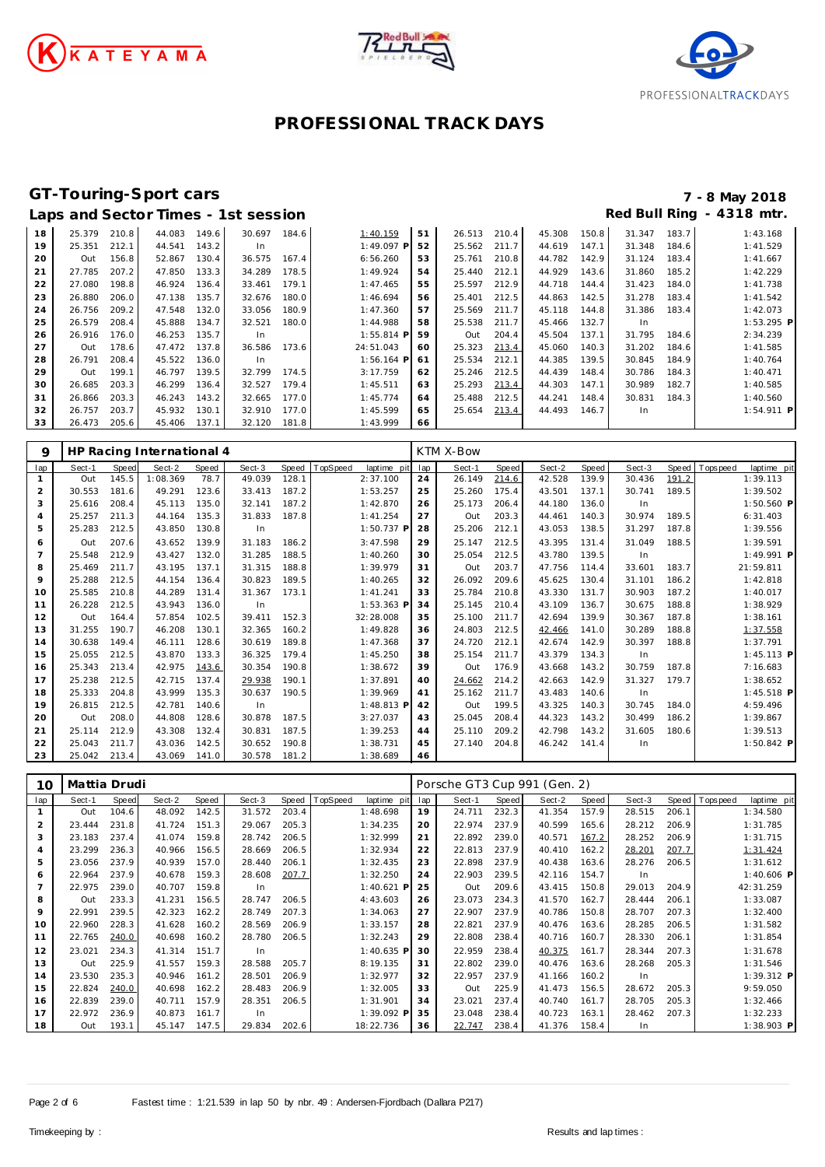





# **GT-Touring-Sport cars 7 - 8 May 2018**

|    |        |       |        |       | Laps and Sector Times - 1st session |       |              |    |        |       |        |       | Red Bull Ring |       | $-4318$ mtr. |
|----|--------|-------|--------|-------|-------------------------------------|-------|--------------|----|--------|-------|--------|-------|---------------|-------|--------------|
| 18 | 25.379 | 210.8 | 44.083 | 149.6 | 30.697                              | 184.6 | 1:40.159     | 51 | 26.513 | 210.4 | 45.308 | 150.8 | 31.347        | 183.7 | 1:43.168     |
| 19 | 25.351 | 212.1 | 44.541 | 143.2 | In.                                 |       | $1:49.097$ P | 52 | 25.562 | 211.7 | 44.619 | 147.1 | 31.348        | 184.6 | 1:41.529     |
| 20 | Out    | 156.8 | 52.867 | 130.4 | 36.575                              | 167.4 | 6:56.260     | 53 | 25.761 | 210.8 | 44.782 | 142.9 | 31.124        | 183.4 | 1:41.667     |
| 21 | 27.785 | 207.2 | 47.850 | 133.3 | 34.289                              | 178.5 | 1:49.924     | 54 | 25.440 | 212.1 | 44.929 | 143.6 | 31.860        | 185.2 | 1:42.229     |
| 22 | 27.080 | 198.8 | 46.924 | 136.4 | 33.461                              | 179.1 | 1:47.465     | 55 | 25.597 | 212.9 | 44.718 | 144.4 | 31.423        | 184.0 | 1:41.738     |
| 23 | 26.880 | 206.0 | 47.138 | 135.7 | 32.676                              | 180.0 | 1:46.694     | 56 | 25.401 | 212.5 | 44.863 | 142.5 | 31.278        | 183.4 | 1:41.542     |
| 24 | 26.756 | 209.2 | 47.548 | 132.0 | 33.056                              | 180.9 | 1:47.360     | 57 | 25.569 | 211.7 | 45.118 | 144.8 | 31.386        | 183.4 | 1:42.073     |
| 25 | 26.579 | 208.4 | 45.888 | 134.7 | 32.521                              | 180.0 | 1:44.988     | 58 | 25.538 | 211.7 | 45.466 | 132.7 | In            |       | 1:53.295 P   |
| 26 | 26.916 | 176.0 | 46.253 | 135.7 | In.                                 |       | $1:55.814$ P | 59 | Out    | 204.4 | 45.504 | 137.1 | 31.795        | 184.6 | 2:34.239     |
| 27 | Out    | 178.6 | 47.472 | 137.8 | 36.586                              | 173.6 | 24:51.043    | 60 | 25.323 | 213.4 | 45.060 | 140.3 | 31.202        | 184.6 | 1:41.585     |
| 28 | 26.791 | 208.4 | 45.522 | 136.0 | In.                                 |       | $1:56.164$ P | 61 | 25.534 | 212.1 | 44.385 | 139.5 | 30.845        | 184.9 | 1:40.764     |
| 29 | Out    | 199.1 | 46.797 | 139.5 | 32.799                              | 174.5 | 3:17.759     | 62 | 25.246 | 212.5 | 44.439 | 148.4 | 30.786        | 184.3 | 1:40.471     |
| 30 | 26.685 | 203.3 | 46.299 | 136.4 | 32.527                              | 179.4 | 1:45.511     | 63 | 25.293 | 213.4 | 44.303 | 147.1 | 30.989        | 182.7 | 1:40.585     |
| 31 | 26.866 | 203.3 | 46.243 | 143.2 | 32.665                              | 177.0 | 1:45.774     | 64 | 25.488 | 212.5 | 44.241 | 148.4 | 30.831        | 184.3 | 1:40.560     |
| 32 | 26.757 | 203.7 | 45.932 | 130.1 | 32.910                              | 177.0 | 1:45.599     | 65 | 25.654 | 213.4 | 44.493 | 146.7 | In            |       | 1:54.911 P   |
| 33 | 26.473 | 205.6 | 45.406 | 137.1 | 32.120                              | 181.8 | 1:43.999     | 66 |        |       |        |       |               |       |              |

| 9              |        |       | HP Racing International 4 |       |        |       |          |             |     | KTM X-Bow |       |        |       |        |       |                |              |  |
|----------------|--------|-------|---------------------------|-------|--------|-------|----------|-------------|-----|-----------|-------|--------|-------|--------|-------|----------------|--------------|--|
| lap            | Sect-1 | Speed | Sect-2                    | Speed | Sect-3 | Speed | TopSpeed | laptime pit | lap | Sect-1    | Speed | Sect-2 | Speed | Sect-3 |       | Speed Topspeed | laptime pit  |  |
|                | Out    | 145.5 | 1:08.369                  | 78.7  | 49.039 | 128.1 |          | 2:37.100    | 24  | 26.149    | 214.6 | 42.528 | 139.9 | 30.436 | 191.2 |                | 1:39.113     |  |
| 2              | 30.553 | 181.6 | 49.291                    | 123.6 | 33.413 | 187.2 |          | 1:53.257    | 25  | 25.260    | 175.4 | 43.501 | 137.1 | 30.741 | 189.5 |                | 1:39.502     |  |
| 3              | 25.616 | 208.4 | 45.113                    | 135.0 | 32.141 | 187.2 |          | 1:42.870    | 26  | 25.173    | 206.4 | 44.180 | 136.0 | In     |       |                | $1:50.560$ P |  |
| 4              | 25.257 | 211.3 | 44.164                    | 135.3 | 31.833 | 187.8 |          | 1:41.254    | 27  | Out       | 203.3 | 44.461 | 140.3 | 30.974 | 189.5 |                | 6:31.403     |  |
| 5              | 25.283 | 212.5 | 43.850                    | 130.8 | In     |       |          | 1:50.737 P  | 28  | 25.206    | 212.1 | 43.053 | 138.5 | 31.297 | 187.8 |                | 1:39.556     |  |
| 6              | Out    | 207.6 | 43.652                    | 139.9 | 31.183 | 186.2 |          | 3:47.598    | 29  | 25.147    | 212.5 | 43.395 | 131.4 | 31.049 | 188.5 |                | 1:39.591     |  |
| $\overline{7}$ | 25.548 | 212.9 | 43.427                    | 132.0 | 31.285 | 188.5 |          | 1:40.260    | 30  | 25.054    | 212.5 | 43.780 | 139.5 | In     |       |                | 1:49.991 P   |  |
| 8              | 25.469 | 211.7 | 43.195                    | 137.1 | 31.315 | 188.8 |          | 1:39.979    | 31  | Out       | 203.7 | 47.756 | 114.4 | 33.601 | 183.7 |                | 21:59.811    |  |
| 9              | 25.288 | 212.5 | 44.154                    | 136.4 | 30.823 | 189.5 |          | 1:40.265    | 32  | 26.092    | 209.6 | 45.625 | 130.4 | 31.101 | 186.2 |                | 1:42.818     |  |
| 10             | 25.585 | 210.8 | 44.289                    | 131.4 | 31.367 | 173.1 |          | 1:41.241    | 33  | 25.784    | 210.8 | 43.330 | 131.7 | 30.903 | 187.2 |                | 1:40.017     |  |
| 11             | 26.228 | 212.5 | 43.943                    | 136.0 | In.    |       |          | 1:53.363 P  | 34  | 25.145    | 210.4 | 43.109 | 136.7 | 30.675 | 188.8 |                | 1:38.929     |  |
| 12             | Out    | 164.4 | 57.854                    | 102.5 | 39.411 | 152.3 |          | 32:28.008   | 35  | 25.100    | 211.7 | 42.694 | 139.9 | 30.367 | 187.8 |                | 1:38.161     |  |
| 13             | 31.255 | 190.7 | 46.208                    | 130.1 | 32.365 | 160.2 |          | 1:49.828    | 36  | 24.803    | 212.5 | 42.466 | 141.0 | 30.289 | 188.8 |                | 1:37.558     |  |
| 14             | 30.638 | 149.4 | 46.111                    | 128.6 | 30.619 | 189.8 |          | 1:47.368    | 37  | 24.720    | 212.1 | 42.674 | 142.9 | 30.397 | 188.8 |                | 1:37.791     |  |
| 15             | 25.055 | 212.5 | 43.870                    | 133.3 | 36.325 | 179.4 |          | 1:45.250    | 38  | 25.154    | 211.7 | 43.379 | 134.3 | In     |       |                | $1:45.113$ P |  |
| 16             | 25.343 | 213.4 | 42.975                    | 143.6 | 30.354 | 190.8 |          | 1:38.672    | 39  | Out       | 176.9 | 43.668 | 143.2 | 30.759 | 187.8 |                | 7:16.683     |  |
| 17             | 25.238 | 212.5 | 42.715                    | 137.4 | 29.938 | 190.1 |          | 1:37.891    | 40  | 24.662    | 214.2 | 42.663 | 142.9 | 31.327 | 179.7 |                | 1:38.652     |  |
| 18             | 25.333 | 204.8 | 43.999                    | 135.3 | 30.637 | 190.5 |          | 1:39.969    | 41  | 25.162    | 211.7 | 43.483 | 140.6 | In     |       |                | $1:45.518$ P |  |
| 19             | 26.815 | 212.5 | 42.781                    | 140.6 | In.    |       |          | 1:48.813 P  | 42  | Out       | 199.5 | 43.325 | 140.3 | 30.745 | 184.0 |                | 4:59.496     |  |
| 20             | Out    | 208.0 | 44.808                    | 128.6 | 30.878 | 187.5 |          | 3:27.037    | 43  | 25.045    | 208.4 | 44.323 | 143.2 | 30.499 | 186.2 |                | 1:39.867     |  |
| 21             | 25.114 | 212.9 | 43.308                    | 132.4 | 30.831 | 187.5 |          | 1:39.253    | 44  | 25.110    | 209.2 | 42.798 | 143.2 | 31.605 | 180.6 |                | 1:39.513     |  |
| 22             | 25.043 | 211.7 | 43.036                    | 142.5 | 30.652 | 190.8 |          | 1:38.731    | 45  | 27.140    | 204.8 | 46.242 | 141.4 | In     |       |                | $1:50.842$ P |  |
| 23             | 25.042 | 213.4 | 43.069                    | 141.0 | 30.578 | 181.2 |          | 1:38.689    | 46  |           |       |        |       |        |       |                |              |  |

| 10             | Mattia Drudi |       |        |       |        |       |          |             |     | Porsche GT3 Cup 991 (Gen. 2) |       |        |       |        |       |             |              |
|----------------|--------------|-------|--------|-------|--------|-------|----------|-------------|-----|------------------------------|-------|--------|-------|--------|-------|-------------|--------------|
| lap            | Sect-1       | Speed | Sect-2 | Speed | Sect-3 | Speed | TopSpeed | laptime pit | lap | Sect-1                       | Speed | Sect-2 | Speed | Sect-3 | Speed | T ops pee d | laptime pit  |
|                | Out          | 104.6 | 48.092 | 142.5 | 31.572 | 203.4 |          | 1:48.698    | 19  | 24.711                       | 232.3 | 41.354 | 157.9 | 28.515 | 206.1 |             | 1:34.580     |
| $\overline{2}$ | 23.444       | 231.8 | 41.724 | 151.3 | 29.067 | 205.3 |          | 1:34.235    | 20  | 22.974                       | 237.9 | 40.599 | 165.6 | 28.212 | 206.9 |             | 1:31.785     |
| 3              | 23.183       | 237.4 | 41.074 | 159.8 | 28.742 | 206.5 |          | 1:32.999    | 21  | 22.892                       | 239.0 | 40.571 | 167.2 | 28.252 | 206.9 |             | 1:31.715     |
| 4              | 23.299       | 236.3 | 40.966 | 156.5 | 28.669 | 206.5 |          | 1:32.934    | 22  | 22.813                       | 237.9 | 40.410 | 162.2 | 28.201 | 207.7 |             | 1:31.424     |
| 5              | 23.056       | 237.9 | 40.939 | 157.0 | 28.440 | 206.1 |          | 1:32.435    | 23  | 22.898                       | 237.9 | 40.438 | 163.6 | 28.276 | 206.5 |             | 1:31.612     |
| 6              | 22.964       | 237.9 | 40.678 | 159.3 | 28.608 | 207.7 |          | 1:32.250    | 24  | 22.903                       | 239.5 | 42.116 | 154.7 | In.    |       |             | $1:40.606$ P |
| $\overline{7}$ | 22.975       | 239.0 | 40.707 | 159.8 | In     |       |          | 1:40.621    | 25  | Out                          | 209.6 | 43.415 | 150.8 | 29.013 | 204.9 |             | 42:31.259    |
| 8              | Out          | 233.3 | 41.231 | 156.5 | 28.747 | 206.5 |          | 4:43.603    | 26  | 23.073                       | 234.3 | 41.570 | 162.7 | 28.444 | 206.1 |             | 1:33.087     |
| 9              | 22.991       | 239.5 | 42.323 | 162.2 | 28.749 | 207.3 |          | 1:34.063    | 27  | 22.907                       | 237.9 | 40.786 | 150.8 | 28.707 | 207.3 |             | 1:32.400     |
| 10             | 22.960       | 228.3 | 41.628 | 160.2 | 28.569 | 206.9 |          | 1:33.157    | 28  | 22.821                       | 237.9 | 40.476 | 163.6 | 28.285 | 206.5 |             | 1:31.582     |
| 11             | 22.765       | 240.0 | 40.698 | 160.2 | 28.780 | 206.5 |          | 1:32.243    | 29  | 22.808                       | 238.4 | 40.716 | 160.7 | 28.330 | 206.1 |             | 1:31.854     |
| 12             | 23.021       | 234.3 | 41.314 | 151.7 | In     |       |          | 1:40.635 P  | 30  | 22.959                       | 238.4 | 40.375 | 161.7 | 28.344 | 207.3 |             | 1:31.678     |
| 13             | Out          | 225.9 | 41.557 | 159.3 | 28.588 | 205.7 |          | 8:19.135    | 31  | 22.802                       | 239.0 | 40.476 | 163.6 | 28.268 | 205.3 |             | 1:31.546     |
| 14             | 23.530       | 235.3 | 40.946 | 161.2 | 28.501 | 206.9 |          | 1:32.977    | 32  | 22.957                       | 237.9 | 41.166 | 160.2 | In.    |       |             | 1:39.312 P   |
| 15             | 22.824       | 240.0 | 40.698 | 162.2 | 28.483 | 206.9 |          | 1:32.005    | 33  | Out                          | 225.9 | 41.473 | 156.5 | 28.672 | 205.3 |             | 9:59.050     |
| 16             | 22.839       | 239.0 | 40.711 | 157.9 | 28.351 | 206.5 |          | 1:31.901    | 34  | 23.021                       | 237.4 | 40.740 | 161.7 | 28.705 | 205.3 |             | 1:32.466     |
| 17             | 22.972       | 236.9 | 40.873 | 161.7 | In     |       |          | 1:39.092 P  | 35  | 23.048                       | 238.4 | 40.723 | 163.1 | 28.462 | 207.3 |             | 1:32.233     |
| 18             | Out          | 193.1 | 45.147 | 147.5 | 29.834 | 202.6 |          | 18:22.736   | 36  | 22.747                       | 238.4 | 41.376 | 158.4 | In     |       |             | 1:38.903 P   |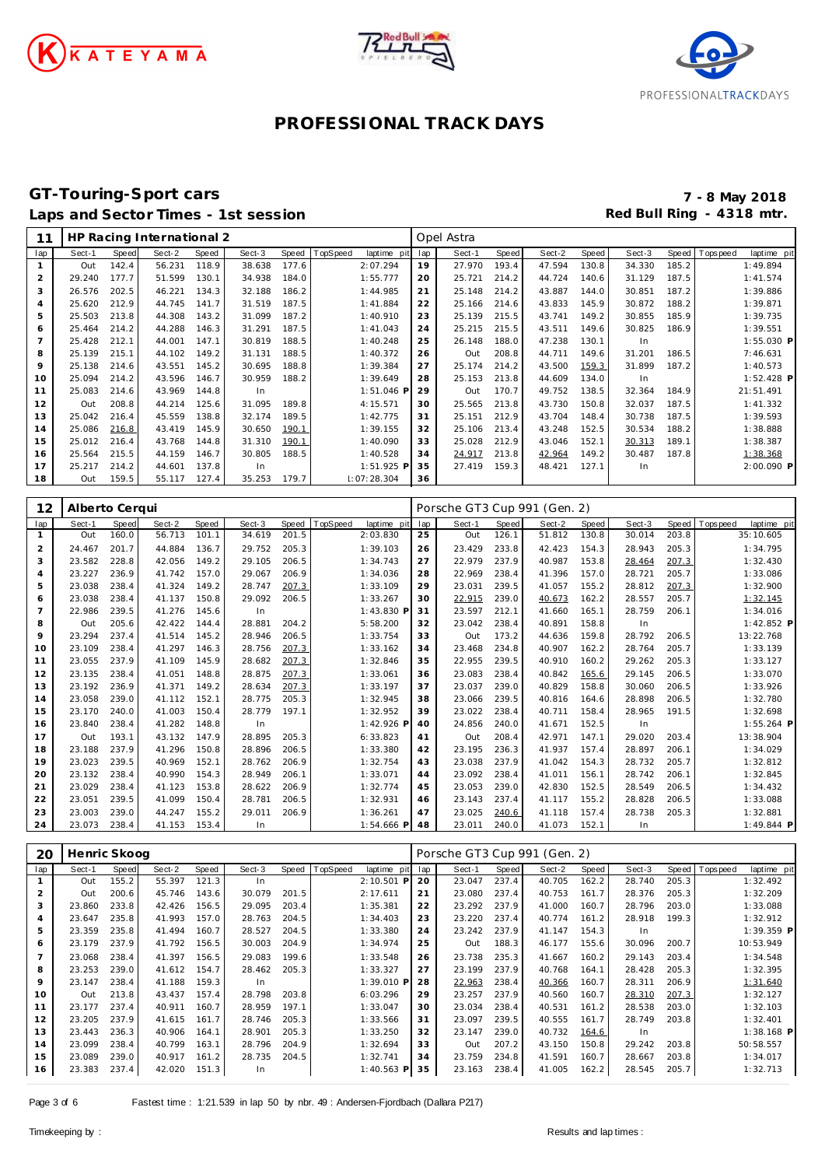





### **GT-Touring-Sport cars 7 - 8 May 2018** Laps and Sector Times - 1st session **Red Bull Ring - 4318 mtr. Red Bull Ring - 4318 mtr.**

| 11             |        |       | HP Racing International 2 |       |        |       |         |             |     | Opel Astra |       |        |       |        |       |          |              |
|----------------|--------|-------|---------------------------|-------|--------|-------|---------|-------------|-----|------------|-------|--------|-------|--------|-------|----------|--------------|
| lap            | Sect-1 | Speed | Sect-2                    | Speed | Sect-3 | Speed | opSpeed | laptime pit | lap | Sect-1     | Speed | Sect-2 | Speed | Sect-3 | Speed | Topspeed | laptime pit  |
| 1              | Out    | 142.4 | 56.231                    | 118.9 | 38.638 | 177.6 |         | 2:07.294    | 19  | 27.970     | 193.4 | 47.594 | 130.8 | 34.330 | 185.2 |          | 1:49.894     |
| $\overline{2}$ | 29.240 | 177.7 | 51.599                    | 130.1 | 34.938 | 184.0 |         | 1:55.777    | 20  | 25.721     | 214.2 | 44.724 | 140.6 | 31.129 | 187.5 |          | 1:41.574     |
| 3              | 26.576 | 202.5 | 46.221                    | 134.3 | 32.188 | 186.2 |         | 1:44.985    | 21  | 25.148     | 214.2 | 43.887 | 144.0 | 30.851 | 187.2 |          | 1:39.886     |
| 4              | 25.620 | 212.9 | 44.745                    | 141.7 | 31.519 | 187.5 |         | 1:41.884    | 22  | 25.166     | 214.6 | 43.833 | 145.9 | 30.872 | 188.2 |          | 1:39.871     |
| 5              | 25.503 | 213.8 | 44.308                    | 143.2 | 31.099 | 187.2 |         | 1:40.910    | 23  | 25.139     | 215.5 | 43.741 | 149.2 | 30.855 | 185.9 |          | 1:39.735     |
| 6              | 25.464 | 214.2 | 44.288                    | 146.3 | 31.291 | 187.5 |         | 1:41.043    | 24  | 25.215     | 215.5 | 43.511 | 149.6 | 30.825 | 186.9 |          | 1:39.551     |
| $\overline{7}$ | 25.428 | 212.1 | 44.001                    | 147.1 | 30.819 | 188.5 |         | 1:40.248    | 25  | 26.148     | 188.0 | 47.238 | 130.1 | In     |       |          | $1:55.030$ P |
| 8              | 25.139 | 215.1 | 44.102                    | 149.2 | 31.131 | 188.5 |         | 1:40.372    | 26  | Out        | 208.8 | 44.711 | 149.6 | 31.201 | 186.5 |          | 7:46.631     |
| 9              | 25.138 | 214.6 | 43.551                    | 145.2 | 30.695 | 188.8 |         | 1:39.384    | 27  | 25.174     | 214.2 | 43.500 | 159.3 | 31.899 | 187.2 |          | 1:40.573     |
| 10             | 25.094 | 214.2 | 43.596                    | 146.7 | 30.959 | 188.2 |         | 1:39.649    | 28  | 25.153     | 213.8 | 44.609 | 134.0 | In     |       |          | $1:52.428$ P |
| 11             | 25.083 | 214.6 | 43.969                    | 144.8 | In.    |       |         | 1:51.046 P  | 29  | Out        | 170.7 | 49.752 | 138.5 | 32.364 | 184.9 |          | 21:51.491    |
| 12             | Out    | 208.8 | 44.214                    | 125.6 | 31.095 | 189.8 |         | 4:15.571    | 30  | 25.565     | 213.8 | 43.730 | 150.8 | 32.037 | 187.5 |          | 1:41.332     |
| 13             | 25.042 | 216.4 | 45.559                    | 138.8 | 32.174 | 189.5 |         | 1:42.775    | 31  | 25.151     | 212.9 | 43.704 | 148.4 | 30.738 | 187.5 |          | 1:39.593     |
| 14             | 25.086 | 216.8 | 43.419                    | 145.9 | 30.650 | 190.1 |         | 1:39.155    | 32  | 25.106     | 213.4 | 43.248 | 152.5 | 30.534 | 188.2 |          | 1:38.888     |
| 15             | 25.012 | 216.4 | 43.768                    | 144.8 | 31.310 | 190.1 |         | 1:40.090    | 33  | 25.028     | 212.9 | 43.046 | 152.1 | 30.313 | 189.1 |          | 1:38.387     |
| 16             | 25.564 | 215.5 | 44.159                    | 146.7 | 30.805 | 188.5 |         | 1:40.528    | 34  | 24.917     | 213.8 | 42.964 | 149.2 | 30.487 | 187.8 |          | 1:38.368     |
| 17             | 25.217 | 214.2 | 44.601                    | 137.8 | In.    |       |         | 1:51.925 P  | 35  | 27.419     | 159.3 | 48.421 | 127.1 | In     |       |          | 2:00.090 P   |
| 18             | Out    | 159.5 | 55.117                    | 127.4 | 35.253 | 179.7 |         | 1:07:28.304 | 36  |            |       |        |       |        |       |          |              |

| 12             | Alberto Cerqui |       |        |       |        |       |                         |     | Porsche GT3 Cup 991 (Gen. 2) |       |        |       |        |       |                            |  |
|----------------|----------------|-------|--------|-------|--------|-------|-------------------------|-----|------------------------------|-------|--------|-------|--------|-------|----------------------------|--|
| lap            | Sect-1         | Speed | Sect-2 | Speed | Sect-3 | Speed | TopSpeed<br>laptime pit | lap | Sect-1                       | Speed | Sect-2 | Speed | Sect-3 | Speed | T ops pee d<br>laptime pit |  |
|                | Out            | 160.0 | 56.713 | 101.1 | 34.619 | 201.5 | 2:03.830                | 25  | Out                          | 126.1 | 51.812 | 130.8 | 30.014 | 203.8 | 35:10.605                  |  |
| $\overline{a}$ | 24.467         | 201.7 | 44.884 | 136.7 | 29.752 | 205.3 | 1:39.103                | 26  | 23.429                       | 233.8 | 42.423 | 154.3 | 28.943 | 205.3 | 1:34.795                   |  |
| 3              | 23.582         | 228.8 | 42.056 | 149.2 | 29.105 | 206.5 | 1:34.743                | 27  | 22.979                       | 237.9 | 40.987 | 153.8 | 28.464 | 207.3 | 1:32.430                   |  |
| 4              | 23.227         | 236.9 | 41.742 | 157.0 | 29.067 | 206.9 | 1:34.036                | 28  | 22.969                       | 238.4 | 41.396 | 157.0 | 28.721 | 205.7 | 1:33.086                   |  |
| 5              | 23.038         | 238.4 | 41.324 | 149.2 | 28.747 | 207.3 | 1:33.109                | 29  | 23.031                       | 239.5 | 41.057 | 155.2 | 28.812 | 207.3 | 1:32.900                   |  |
| 6              | 23.038         | 238.4 | 41.137 | 150.8 | 29.092 | 206.5 | 1:33.267                | 30  | 22.915                       | 239.0 | 40.673 | 162.2 | 28.557 | 205.7 | 1:32.145                   |  |
| 7              | 22.986         | 239.5 | 41.276 | 145.6 | In     |       | 1:43.830 P              | 31  | 23.597                       | 212.1 | 41.660 | 165.1 | 28.759 | 206.1 | 1:34.016                   |  |
| 8              | Out            | 205.6 | 42.422 | 144.4 | 28.881 | 204.2 | 5:58.200                | 32  | 23.042                       | 238.4 | 40.891 | 158.8 | In     |       | $1:42.852$ P               |  |
| 9              | 23.294         | 237.4 | 41.514 | 145.2 | 28.946 | 206.5 | 1:33.754                | 33  | Out                          | 173.2 | 44.636 | 159.8 | 28.792 | 206.5 | 13:22.768                  |  |
| 10             | 23.109         | 238.4 | 41.297 | 146.3 | 28.756 | 207.3 | 1:33.162                | 34  | 23.468                       | 234.8 | 40.907 | 162.2 | 28.764 | 205.7 | 1:33.139                   |  |
| 11             | 23.055         | 237.9 | 41.109 | 145.9 | 28.682 | 207.3 | 1:32.846                | 35  | 22.955                       | 239.5 | 40.910 | 160.2 | 29.262 | 205.3 | 1:33.127                   |  |
| 12             | 23.135         | 238.4 | 41.051 | 148.8 | 28.875 | 207.3 | 1:33.061                | 36  | 23.083                       | 238.4 | 40.842 | 165.6 | 29.145 | 206.5 | 1:33.070                   |  |
| 13             | 23.192         | 236.9 | 41.371 | 149.2 | 28.634 | 207.3 | 1:33.197                | 37  | 23.037                       | 239.0 | 40.829 | 158.8 | 30.060 | 206.5 | 1:33.926                   |  |
| 14             | 23.058         | 239.0 | 41.112 | 152.1 | 28.775 | 205.3 | 1:32.945                | 38  | 23.066                       | 239.5 | 40.816 | 164.6 | 28.898 | 206.5 | 1:32.780                   |  |
| 15             | 23.170         | 240.0 | 41.003 | 150.4 | 28.779 | 197.1 | 1:32.952                | 39  | 23.022                       | 238.4 | 40.711 | 158.4 | 28.965 | 191.5 | 1:32.698                   |  |
| 16             | 23.840         | 238.4 | 41.282 | 148.8 | In     |       | 1:42.926 F              | 40  | 24.856                       | 240.0 | 41.671 | 152.5 | In     |       | $1:55.264$ P               |  |
| 17             | Out            | 193.1 | 43.132 | 147.9 | 28.895 | 205.3 | 6:33.823                | 41  | Out                          | 208.4 | 42.971 | 147.1 | 29.020 | 203.4 | 13:38.904                  |  |
| 18             | 23.188         | 237.9 | 41.296 | 150.8 | 28.896 | 206.5 | 1:33.380                | 42  | 23.195                       | 236.3 | 41.937 | 157.4 | 28.897 | 206.1 | 1:34.029                   |  |
| 19             | 23.023         | 239.5 | 40.969 | 152.1 | 28.762 | 206.9 | 1:32.754                | 43  | 23.038                       | 237.9 | 41.042 | 154.3 | 28.732 | 205.7 | 1:32.812                   |  |
| 20             | 23.132         | 238.4 | 40.990 | 154.3 | 28.949 | 206.1 | 1:33.071                | 44  | 23.092                       | 238.4 | 41.011 | 156.1 | 28.742 | 206.1 | 1:32.845                   |  |
| 21             | 23.029         | 238.4 | 41.123 | 153.8 | 28.622 | 206.9 | 1:32.774                | 45  | 23.053                       | 239.0 | 42.830 | 152.5 | 28.549 | 206.5 | 1:34.432                   |  |
| 22             | 23.051         | 239.5 | 41.099 | 150.4 | 28.781 | 206.5 | 1:32.931                | 46  | 23.143                       | 237.4 | 41.117 | 155.2 | 28.828 | 206.5 | 1:33.088                   |  |
| 23             | 23.003         | 239.0 | 44.247 | 155.2 | 29.011 | 206.9 | 1:36.261                | 47  | 23.025                       | 240.6 | 41.118 | 157.4 | 28.738 | 205.3 | 1:32.881                   |  |
| 24             | 23.073         | 238.4 | 41.153 | 153.4 | In     |       | $1:54.666$ P            | 48  | 23.011                       | 240.0 | 41.073 | 152.1 | In     |       | $1:49.844$ P               |  |

| 20             | Henric Skoog |       |        |       |        |       |                |                 |     | Porsche GT3 Cup 991 (Gen. 2) |       |        |       |        |       |          |              |
|----------------|--------------|-------|--------|-------|--------|-------|----------------|-----------------|-----|------------------------------|-------|--------|-------|--------|-------|----------|--------------|
| lap            | Sect-1       | Speed | Sect-2 | Speed | Sect-3 |       | Speed TopSpeed | laptime<br>pit) | lap | Sect-1                       | Speed | Sect-2 | Speed | Sect-3 | Speed | Topspeed | laptime pit  |
|                | Out          | 155.2 | 55.397 | 121.3 | In.    |       |                | 2:10.501 P      | 20  | 23.047                       | 237.4 | 40.705 | 162.2 | 28.740 | 205.3 |          | 1:32.492     |
| 2              | Out          | 200.6 | 45.746 | 143.6 | 30.079 | 201.5 |                | 2:17.611        | 21  | 23.080                       | 237.4 | 40.753 | 161.7 | 28.376 | 205.3 |          | 1:32.209     |
| 3              | 23.860       | 233.8 | 42.426 | 156.5 | 29.095 | 203.4 |                | 1:35.381        | 22  | 23.292                       | 237.9 | 41.000 | 160.7 | 28.796 | 203.0 |          | 1:33.088     |
| 4              | 23.647       | 235.8 | 41.993 | 157.0 | 28.763 | 204.5 |                | 1:34.403        | 23  | 23.220                       | 237.4 | 40.774 | 161.2 | 28.918 | 199.3 |          | 1:32.912     |
| 5              | 23.359       | 235.8 | 41.494 | 160.7 | 28.527 | 204.5 |                | 1:33.380        | 24  | 23.242                       | 237.9 | 41.147 | 154.3 | In.    |       |          | 1:39.359 P   |
| 6              | 23.179       | 237.9 | 41.792 | 156.5 | 30.003 | 204.9 |                | 1:34.974        | 25  | Out                          | 188.3 | 46.177 | 155.6 | 30.096 | 200.7 |          | 10:53.949    |
| $\overline{7}$ | 23.068       | 238.4 | 41.397 | 156.5 | 29.083 | 199.6 |                | 1:33.548        | 26  | 23.738                       | 235.3 | 41.667 | 160.2 | 29.143 | 203.4 |          | 1:34.548     |
| 8              | 23.253       | 239.0 | 41.612 | 154.7 | 28.462 | 205.3 |                | 1:33.327        | 27  | 23.199                       | 237.9 | 40.768 | 164.1 | 28.428 | 205.3 |          | 1:32.395     |
| 9              | 23.147       | 238.4 | 41.188 | 159.3 | In.    |       |                | $1:39.010$ P    | 28  | 22.963                       | 238.4 | 40.366 | 160.7 | 28.311 | 206.9 |          | 1:31.640     |
| 10             | Out          | 213.8 | 43.437 | 157.4 | 28.798 | 203.8 |                | 6:03.296        | 29  | 23.257                       | 237.9 | 40.560 | 160.7 | 28.310 | 207.3 |          | 1:32.127     |
| 11             | 23.177       | 237.4 | 40.911 | 160.7 | 28.959 | 197.1 |                | 1:33.047        | 30  | 23.034                       | 238.4 | 40.531 | 161.2 | 28.538 | 203.0 |          | 1:32.103     |
| 12             | 23.205       | 237.9 | 41.615 | 161.7 | 28.746 | 205.3 |                | 1:33.566        | 31  | 23.097                       | 239.5 | 40.555 | 161.7 | 28.749 | 203.8 |          | 1:32.401     |
| 13             | 23.443       | 236.3 | 40.906 | 164.1 | 28.901 | 205.3 |                | 1:33.250        | 32  | 23.147                       | 239.0 | 40.732 | 164.6 | In     |       |          | $1:38.168$ P |
| 14             | 23.099       | 238.4 | 40.799 | 163.1 | 28.796 | 204.9 |                | 1:32.694        | 33  | Out                          | 207.2 | 43.150 | 150.8 | 29.242 | 203.8 |          | 50:58.557    |
| 15             | 23.089       | 239.0 | 40.917 | 161.2 | 28.735 | 204.5 |                | 1:32.741        | 34  | 23.759                       | 234.8 | 41.591 | 160.7 | 28.667 | 203.8 |          | 1:34.017     |
| 16             | 23.383       | 237.4 | 42.020 | 151.3 | In.    |       |                | $1:40.563$ P    | 35  | 23.163                       | 238.4 | 41.005 | 162.2 | 28.545 | 205.7 |          | 1:32.713     |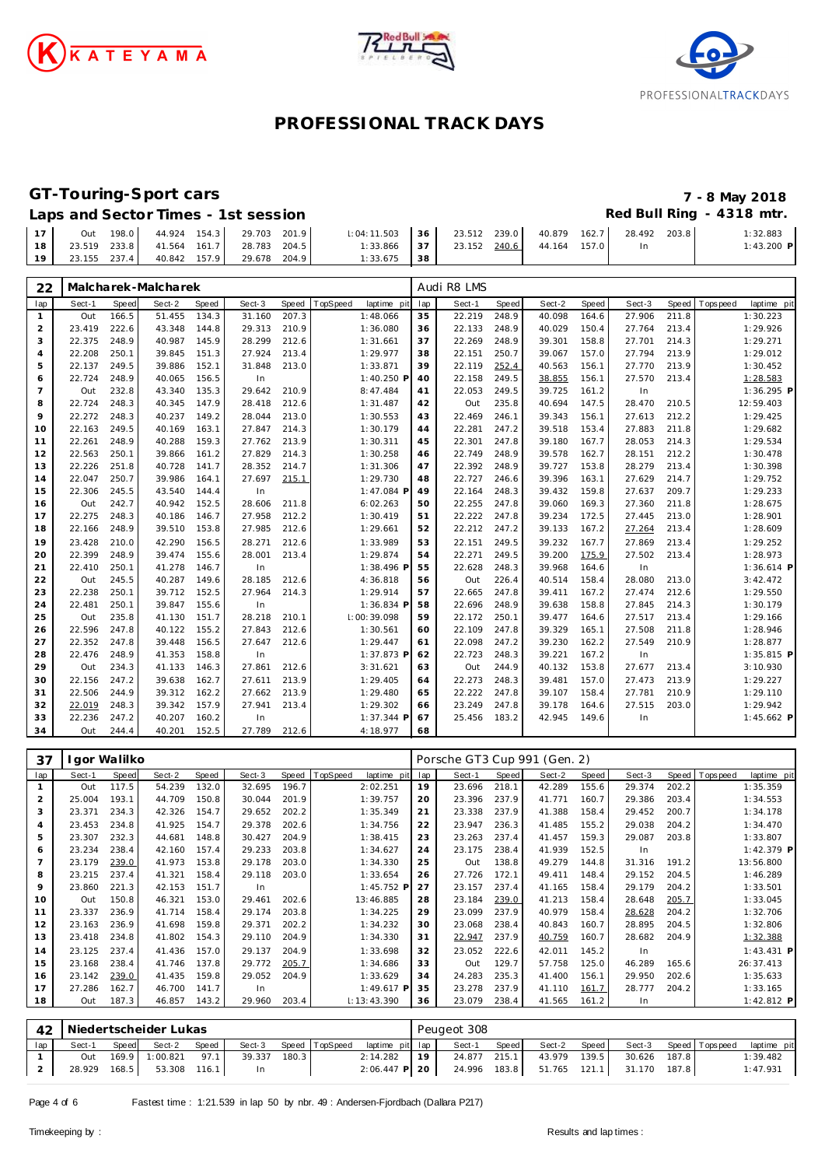





## **GT-Touring-Sport cars 7 - 8 May 2018**

### Laps and Sector Times - 1st session **Red Bull Ring - 4318 mtr. Red Bull Ring - 4318 mtr.**

|    | Out          | 198.0 |                                        | 44.924 154.3 29.703 201.9 | $\parallel$ : 04: 11.503 $\parallel$ 36 |      | 23.512 239.0 | 40.879       | 162.7 28.492 | 203.8 | :32.883      |
|----|--------------|-------|----------------------------------------|---------------------------|-----------------------------------------|------|--------------|--------------|--------------|-------|--------------|
| 18 |              |       | 23.519 233.8 41.564 161.7 28.783 204.5 |                           | $1:33.866$ 37                           |      | 23.152 240.6 | 44.164 157.0 |              |       | $1:43.200$ P |
| 19 | 23.155 237.4 |       | 40.842 157.9                           | 29.678 204.9              | 1:33.675                                | - 38 |              |              |              |       |              |

| 22             |        |       | Malcharek-Malcharek |       |        |       |          |             |     | Audi R8 LMS |       |        |       |        |       |            |              |
|----------------|--------|-------|---------------------|-------|--------|-------|----------|-------------|-----|-------------|-------|--------|-------|--------|-------|------------|--------------|
| lap            | Sect-1 | Speed | Sect-2              | Speed | Sect-3 | Speed | TopSpeed | laptime pit | lap | Sect-1      | Speed | Sect-2 | Speed | Sect-3 | Speed | T ops peed | laptime pit  |
| 1              | Out    | 166.5 | 51.455              | 134.3 | 31.160 | 207.3 |          | 1:48.066    | 35  | 22.219      | 248.9 | 40.098 | 164.6 | 27.906 | 211.8 |            | 1:30.223     |
| 2              | 23.419 | 222.6 | 43.348              | 144.8 | 29.313 | 210.9 |          | 1:36.080    | 36  | 22.133      | 248.9 | 40.029 | 150.4 | 27.764 | 213.4 |            | 1:29.926     |
| 3              | 22.375 | 248.9 | 40.987              | 145.9 | 28.299 | 212.6 |          | 1:31.661    | 37  | 22.269      | 248.9 | 39.301 | 158.8 | 27.701 | 214.3 |            | 1:29.271     |
| $\overline{4}$ | 22.208 | 250.1 | 39.845              | 151.3 | 27.924 | 213.4 |          | 1:29.977    | 38  | 22.151      | 250.7 | 39.067 | 157.0 | 27.794 | 213.9 |            | 1:29.012     |
| 5              | 22.137 | 249.5 | 39.886              | 152.1 | 31.848 | 213.0 |          | 1:33.871    | 39  | 22.119      | 252.4 | 40.563 | 156.1 | 27.770 | 213.9 |            | 1:30.452     |
| 6              | 22.724 | 248.9 | 40.065              | 156.5 | In     |       |          | 1:40.250 P  | 40  | 22.158      | 249.5 | 38.855 | 156.1 | 27.570 | 213.4 |            | 1:28.583     |
| $\overline{7}$ | Out    | 232.8 | 43.340              | 135.3 | 29.642 | 210.9 |          | 8:47.484    | 41  | 22.053      | 249.5 | 39.725 | 161.2 | In     |       |            | 1:36.295 P   |
| 8              | 22.724 | 248.3 | 40.345              | 147.9 | 28.418 | 212.6 |          | 1:31.487    | 42  | Out         | 235.8 | 40.694 | 147.5 | 28.470 | 210.5 |            | 12:59.403    |
| 9              | 22.272 | 248.3 | 40.237              | 149.2 | 28.044 | 213.0 |          | 1:30.553    | 43  | 22.469      | 246.1 | 39.343 | 156.1 | 27.613 | 212.2 |            | 1:29.425     |
| 10             | 22.163 | 249.5 | 40.169              | 163.1 | 27.847 | 214.3 |          | 1:30.179    | 44  | 22.281      | 247.2 | 39.518 | 153.4 | 27.883 | 211.8 |            | 1:29.682     |
| 11             | 22.261 | 248.9 | 40.288              | 159.3 | 27.762 | 213.9 |          | 1:30.311    | 45  | 22.301      | 247.8 | 39.180 | 167.7 | 28.053 | 214.3 |            | 1:29.534     |
| 12             | 22.563 | 250.1 | 39.866              | 161.2 | 27.829 | 214.3 |          | 1:30.258    | 46  | 22.749      | 248.9 | 39.578 | 162.7 | 28.151 | 212.2 |            | 1:30.478     |
| 13             | 22.226 | 251.8 | 40.728              | 141.7 | 28.352 | 214.7 |          | 1:31.306    | 47  | 22.392      | 248.9 | 39.727 | 153.8 | 28.279 | 213.4 |            | 1:30.398     |
| 14             | 22.047 | 250.7 | 39.986              | 164.1 | 27.697 | 215.1 |          | 1:29.730    | 48  | 22.727      | 246.6 | 39.396 | 163.1 | 27.629 | 214.7 |            | 1:29.752     |
| 15             | 22.306 | 245.5 | 43.540              | 144.4 | In     |       |          | 1:47.084 P  | 49  | 22.164      | 248.3 | 39.432 | 159.8 | 27.637 | 209.7 |            | 1:29.233     |
| 16             | Out    | 242.7 | 40.942              | 152.5 | 28.606 | 211.8 |          | 6:02.263    | 50  | 22.255      | 247.8 | 39.060 | 169.3 | 27.360 | 211.8 |            | 1:28.675     |
| 17             | 22.275 | 248.3 | 40.186              | 146.7 | 27.958 | 212.2 |          | 1:30.419    | 51  | 22.222      | 247.8 | 39.234 | 172.5 | 27.445 | 213.0 |            | 1:28.901     |
| 18             | 22.166 | 248.9 | 39.510              | 153.8 | 27.985 | 212.6 |          | 1:29.661    | 52  | 22.212      | 247.2 | 39.133 | 167.2 | 27.264 | 213.4 |            | 1:28.609     |
| 19             | 23.428 | 210.0 | 42.290              | 156.5 | 28.271 | 212.6 |          | 1:33.989    | 53  | 22.151      | 249.5 | 39.232 | 167.7 | 27.869 | 213.4 |            | 1:29.252     |
| 20             | 22.399 | 248.9 | 39.474              | 155.6 | 28.001 | 213.4 |          | 1:29.874    | 54  | 22.271      | 249.5 | 39.200 | 175.9 | 27.502 | 213.4 |            | 1:28.973     |
| 21             | 22.410 | 250.1 | 41.278              | 146.7 | In     |       |          | 1:38.496 F  | 55  | 22.628      | 248.3 | 39.968 | 164.6 | In     |       |            | $1:36.614$ P |
| 22             | Out    | 245.5 | 40.287              | 149.6 | 28.185 | 212.6 |          | 4:36.818    | 56  | Out         | 226.4 | 40.514 | 158.4 | 28.080 | 213.0 |            | 3:42.472     |
| 23             | 22.238 | 250.1 | 39.712              | 152.5 | 27.964 | 214.3 |          | 1:29.914    | 57  | 22.665      | 247.8 | 39.411 | 167.2 | 27.474 | 212.6 |            | 1:29.550     |
| 24             | 22.481 | 250.1 | 39.847              | 155.6 | In     |       |          | 1:36.834 P  | 58  | 22.696      | 248.9 | 39.638 | 158.8 | 27.845 | 214.3 |            | 1:30.179     |
| 25             | Out    | 235.8 | 41.130              | 151.7 | 28.218 | 210.1 |          | 1:00:39.098 | 59  | 22.172      | 250.1 | 39.477 | 164.6 | 27.517 | 213.4 |            | 1:29.166     |
| 26             | 22.596 | 247.8 | 40.122              | 155.2 | 27.843 | 212.6 |          | 1:30.561    | 60  | 22.109      | 247.8 | 39.329 | 165.1 | 27.508 | 211.8 |            | 1:28.946     |
| 27             | 22.352 | 247.8 | 39.448              | 156.5 | 27.647 | 212.6 |          | 1:29.447    | 61  | 22.098      | 247.2 | 39.230 | 162.2 | 27.549 | 210.9 |            | 1:28.877     |
| 28             | 22.476 | 248.9 | 41.353              | 158.8 | In     |       |          | 1:37.873 P  | 62  | 22.723      | 248.3 | 39.221 | 167.2 | In     |       |            | $1:35.815$ P |
| 29             | Out    | 234.3 | 41.133              | 146.3 | 27.861 | 212.6 |          | 3:31.621    | 63  | Out         | 244.9 | 40.132 | 153.8 | 27.677 | 213.4 |            | 3:10.930     |
| 30             | 22.156 | 247.2 | 39.638              | 162.7 | 27.611 | 213.9 |          | 1:29.405    | 64  | 22.273      | 248.3 | 39.481 | 157.0 | 27.473 | 213.9 |            | 1:29.227     |
| 31             | 22.506 | 244.9 | 39.312              | 162.2 | 27.662 | 213.9 |          | 1:29.480    | 65  | 22.222      | 247.8 | 39.107 | 158.4 | 27.781 | 210.9 |            | 1:29.110     |
| 32             | 22.019 | 248.3 | 39.342              | 157.9 | 27.941 | 213.4 |          | 1:29.302    | 66  | 23.249      | 247.8 | 39.178 | 164.6 | 27.515 | 203.0 |            | 1:29.942     |
| 33             | 22.236 | 247.2 | 40.207              | 160.2 | In     |       |          | 1:37.344 P  | 67  | 25.456      | 183.2 | 42.945 | 149.6 | In     |       |            | $1:45.662$ P |
| 34             | Out    | 244.4 | 40.201              | 152.5 | 27.789 | 212.6 |          | 4:18.977    | 68  |             |       |        |       |        |       |            |              |

| 37  |        | lgor Walilko |        |       |        |       |                         |     | Porsche GT3 Cup 991 (Gen. 2) |       |        |       |        |       |                |              |
|-----|--------|--------------|--------|-------|--------|-------|-------------------------|-----|------------------------------|-------|--------|-------|--------|-------|----------------|--------------|
| lap | Sect-1 | Speed        | Sect-2 | Speed | Sect-3 | Speed | TopSpeed<br>laptime pit | lap | Sect-1                       | Speed | Sect-2 | Speed | Sect-3 |       | Speed Topspeed | laptime pit  |
|     | Out    | 117.5        | 54.239 | 132.0 | 32.695 | 196.7 | 2:02.251                | 19  | 23.696                       | 218.1 | 42.289 | 155.6 | 29.374 | 202.2 |                | 1:35.359     |
| 2   | 25.004 | 193.1        | 44.709 | 150.8 | 30.044 | 201.9 | 1:39.757                | 20  | 23.396                       | 237.9 | 41.771 | 160.7 | 29.386 | 203.4 |                | 1:34.553     |
| 3   | 23.371 | 234.3        | 42.326 | 154.7 | 29.652 | 202.2 | 1:35.349                | 21  | 23.338                       | 237.9 | 41.388 | 158.4 | 29.452 | 200.7 |                | 1:34.178     |
| 4   | 23.453 | 234.8        | 41.925 | 154.7 | 29.378 | 202.6 | 1:34.756                | 22  | 23.947                       | 236.3 | 41.485 | 155.2 | 29.038 | 204.2 |                | 1:34.470     |
| 5   | 23.307 | 232.3        | 44.681 | 148.8 | 30.427 | 204.9 | 1:38.415                | 23  | 23.263                       | 237.4 | 41.457 | 159.3 | 29.087 | 203.8 |                | 1:33.807     |
| 6   | 23.234 | 238.4        | 42.160 | 157.4 | 29.233 | 203.8 | 1:34.627                | 24  | 23.175                       | 238.4 | 41.939 | 152.5 | In.    |       |                | 1:42.379 P   |
| 7   | 23.179 | 239.0        | 41.973 | 153.8 | 29.178 | 203.0 | 1:34.330                | 25  | Out                          | 138.8 | 49.279 | 144.8 | 31.316 | 191.2 |                | 13:56.800    |
| 8   | 23.215 | 237.4        | 41.321 | 158.4 | 29.118 | 203.0 | 1:33.654                | 26  | 27.726                       | 172.1 | 49.411 | 148.4 | 29.152 | 204.5 |                | 1:46.289     |
| 9   | 23.860 | 221.3        | 42.153 | 151.7 | In.    |       | $1:45.752$ F            | 27  | 23.157                       | 237.4 | 41.165 | 158.4 | 29.179 | 204.2 |                | 1:33.501     |
| 10  | Out    | 150.8        | 46.321 | 153.0 | 29.461 | 202.6 | 13:46.885               | 28  | 23.184                       | 239.0 | 41.213 | 158.4 | 28.648 | 205.7 |                | 1:33.045     |
| 11  | 23.337 | 236.9        | 41.714 | 158.4 | 29.174 | 203.8 | 1:34.225                | 29  | 23.099                       | 237.9 | 40.979 | 158.4 | 28.628 | 204.2 |                | 1:32.706     |
| 12  | 23.163 | 236.9        | 41.698 | 159.8 | 29.371 | 202.2 | 1:34.232                | 30  | 23.068                       | 238.4 | 40.843 | 160.7 | 28.895 | 204.5 |                | 1:32.806     |
| 13  | 23.418 | 234.8        | 41.802 | 154.3 | 29.110 | 204.9 | 1:34.330                | 31  | 22.947                       | 237.9 | 40.759 | 160.7 | 28.682 | 204.9 |                | 1:32.388     |
| 14  | 23.125 | 237.4        | 41.436 | 157.0 | 29.137 | 204.9 | 1:33.698                | 32  | 23.052                       | 222.6 | 42.011 | 145.2 | In     |       |                | $1:43.431$ P |
| 15  | 23.168 | 238.4        | 41.746 | 137.8 | 29.772 | 205.7 | 1:34.686                | 33  | Out                          | 129.7 | 57.758 | 125.0 | 46.289 | 165.6 |                | 26:37.413    |
| 16  | 23.142 | 239.0        | 41.435 | 159.8 | 29.052 | 204.9 | 1:33.629                | 34  | 24.283                       | 235.3 | 41.400 | 156.1 | 29.950 | 202.6 |                | 1:35.633     |
| 17  | 27.286 | 162.7        | 46.700 | 141.7 | In.    |       | 1:49.617 P              | 35  | 23.278                       | 237.9 | 41.110 | 161.7 | 28.777 | 204.2 |                | 1:33.165     |
| 18  | Out    | 187.3        | 46.857 | 143.2 | 29.960 | 203.4 | 1:13:43.390             | 36  | 23.079                       | 238.4 | 41.565 | 161.2 | In     |       |                | 1:42.812 P   |

|     | 42   Niedertscheider Lukas |       |                           |       |        |       |  |                                                      | Peugeot 308 |              |       |              |  |              |  |                       |             |  |  |
|-----|----------------------------|-------|---------------------------|-------|--------|-------|--|------------------------------------------------------|-------------|--------------|-------|--------------|--|--------------|--|-----------------------|-------------|--|--|
| lap | Sect-1                     | Speed | Sect-2                    | Speed |        |       |  | Sect-3 Speed TopSpeed laptime pit lap                |             | Sect-1       | Speed | Sect-2 Speed |  |              |  | Sect-3 Speed Topspeed | laptime pit |  |  |
|     | Out                        |       | 169.9 1:00.821 97.1       |       | 39.337 | 180.3 |  | $2:14.282$ 19                                        |             | 24.877 215.1 |       | 43.979 139.5 |  | 30.626 187.8 |  |                       | 1:39.482    |  |  |
|     |                            |       | 28.929 168.5 53.308 116.1 |       | - In   |       |  | 2:06.447 P 20 24.996 183.8 51.765 121.1 31.170 187.8 |             |              |       |              |  |              |  |                       | 1:47.931    |  |  |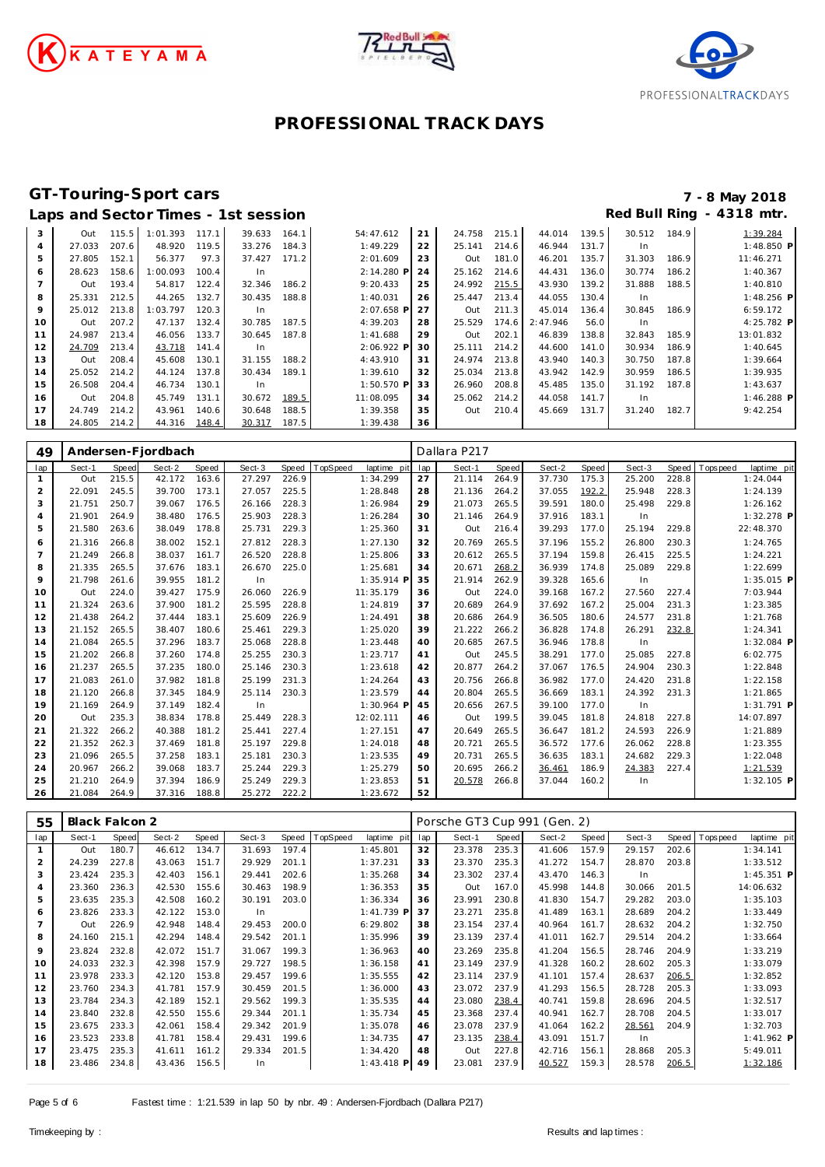





# **GT-Touring-Sport cars 7 - 8 May 2018**

|                |        |       |          |       | Laps and Sector Times - 1st session |       |              |    |        |       |          |       | Red Bull Ring |       | - 4318 mtr.  |
|----------------|--------|-------|----------|-------|-------------------------------------|-------|--------------|----|--------|-------|----------|-------|---------------|-------|--------------|
| 3              | Out    | 115.5 | 1:01.393 | 117.1 | 39.633                              | 164.1 | 54:47.612    | 21 | 24.758 | 215.1 | 44.014   | 139.5 | 30.512        | 184.9 | 1:39.284     |
| $\overline{4}$ | 27.033 | 207.6 | 48.920   | 119.5 | 33.276                              | 184.3 | 1:49.229     | 22 | 25.141 | 214.6 | 46.944   | 131.7 | In.           |       | 1:48.850 P   |
| 5              | 27.805 | 152.1 | 56.377   | 97.3  | 37.427                              | 171.2 | 2:01.609     | 23 | Out    | 181.0 | 46.201   | 135.7 | 31.303        | 186.9 | 11:46.271    |
| 6              | 28.623 | 158.6 | 1:00.093 | 100.4 | In                                  |       | 2:14.280 P   | 24 | 25.162 | 214.6 | 44.431   | 136.0 | 30.774        | 186.2 | 1:40.367     |
|                | Out    | 193.4 | 54.817   | 122.4 | 32.346                              | 186.2 | 9:20.433     | 25 | 24.992 | 215.5 | 43.930   | 139.2 | 31.888        | 188.5 | 1:40.810     |
| 8              | 25.331 | 212.5 | 44.265   | 132.7 | 30.435                              | 188.8 | 1:40.031     | 26 | 25.447 | 213.4 | 44.055   | 130.4 | In.           |       | $1:48.256$ P |
| 9              | 25.012 | 213.8 | 1:03.797 | 120.3 | In                                  |       | 2:07.658 P   | 27 | Out    | 211.3 | 45.014   | 136.4 | 30.845        | 186.9 | 6:59.172     |
| 10             | Out    | 207.2 | 47.137   | 132.4 | 30.785                              | 187.5 | 4:39.203     | 28 | 25.529 | 174.6 | 2:47.946 | 56.0  | In.           |       | 4:25.782 P   |
| 11             | 24.987 | 213.4 | 46.056   | 133.7 | 30.645                              | 187.8 | 1:41.688     | 29 | Out    | 202.1 | 46.839   | 138.8 | 32.843        | 185.9 | 13:01.832    |
| 12             | 24.709 | 213.4 | 43.718   | 141.4 | In.                                 |       | 2:06.922 P   | 30 | 25.111 | 214.2 | 44.600   | 141.0 | 30.934        | 186.9 | 1:40.645     |
| 13             | Out    | 208.4 | 45.608   | 130.1 | 31.155                              | 188.2 | 4:43.910     | 31 | 24.974 | 213.8 | 43.940   | 140.3 | 30.750        | 187.8 | 1:39.664     |
| 14             | 25.052 | 214.2 | 44.124   | 137.8 | 30.434                              | 189.1 | 1:39.610     | 32 | 25.034 | 213.8 | 43.942   | 142.9 | 30.959        | 186.5 | 1:39.935     |
| 15             | 26.508 | 204.4 | 46.734   | 130.1 | In                                  |       | $1:50.570$ P | 33 | 26.960 | 208.8 | 45.485   | 135.0 | 31.192        | 187.8 | 1:43.637     |
| 16             | Out    | 204.8 | 45.749   | 131.1 | 30.672                              | 189.5 | 11:08.095    | 34 | 25.062 | 214.2 | 44.058   | 141.7 | In            |       | $1:46.288$ P |
| 17             | 24.749 | 214.2 | 43.961   | 140.6 | 30.648                              | 188.5 | 1:39.358     | 35 | Out    | 210.4 | 45.669   | 131.7 | 31.240        | 182.7 | 9:42.254     |
| 18             | 24.805 | 214.2 | 44.316   | 148.4 | 30.317                              | 187.5 | 1:39.438     | 36 |        |       |          |       |               |       |              |

| 49             |        |       | Andersen-Fjordbach |       |        |       |                         | Dallara P217 |        |       |        |       |        |       |            |              |  |
|----------------|--------|-------|--------------------|-------|--------|-------|-------------------------|--------------|--------|-------|--------|-------|--------|-------|------------|--------------|--|
| lap            | Sect-1 | Speed | Sect-2             | Speed | Sect-3 | Speed | TopSpeed<br>laptime pit | lap          | Sect-1 | Speed | Sect-2 | Speed | Sect-3 | Speed | T ops peed | laptime pit  |  |
| $\mathbf{1}$   | Out    | 215.5 | 42.172             | 163.6 | 27.297 | 226.9 | 1:34.299                | 27           | 21.114 | 264.9 | 37.730 | 175.3 | 25.200 | 228.8 |            | 1:24.044     |  |
| $\overline{2}$ | 22.091 | 245.5 | 39.700             | 173.1 | 27.057 | 225.5 | 1:28.848                | 28           | 21.136 | 264.2 | 37.055 | 192.2 | 25.948 | 228.3 |            | 1:24.139     |  |
| 3              | 21.751 | 250.7 | 39.067             | 176.5 | 26.166 | 228.3 | 1:26.984                | 29           | 21.073 | 265.5 | 39.591 | 180.0 | 25.498 | 229.8 |            | 1:26.162     |  |
| $\overline{4}$ | 21.901 | 264.9 | 38.480             | 176.5 | 25.903 | 228.3 | 1:26.284                | 30           | 21.146 | 264.9 | 37.916 | 183.1 | In     |       |            | 1:32.278 P   |  |
| 5              | 21.580 | 263.6 | 38.049             | 178.8 | 25.731 | 229.3 | 1:25.360                | 31           | Out    | 216.4 | 39.293 | 177.0 | 25.194 | 229.8 |            | 22:48.370    |  |
| 6              | 21.316 | 266.8 | 38.002             | 152.1 | 27.812 | 228.3 | 1:27.130                | 32           | 20.769 | 265.5 | 37.196 | 155.2 | 26.800 | 230.3 |            | 1:24.765     |  |
| $\overline{7}$ | 21.249 | 266.8 | 38.037             | 161.7 | 26.520 | 228.8 | 1:25.806                | 33           | 20.612 | 265.5 | 37.194 | 159.8 | 26.415 | 225.5 |            | 1:24.221     |  |
| 8              | 21.335 | 265.5 | 37.676             | 183.1 | 26.670 | 225.0 | 1:25.681                | 34           | 20.671 | 268.2 | 36.939 | 174.8 | 25.089 | 229.8 |            | 1:22.699     |  |
| 9              | 21.798 | 261.6 | 39.955             | 181.2 | In     |       | 1:35.914 F              | 35           | 21.914 | 262.9 | 39.328 | 165.6 | In     |       |            | $1:35.015$ P |  |
| 10             | Out    | 224.0 | 39.427             | 175.9 | 26.060 | 226.9 | 11:35.179               | 36           | Out    | 224.0 | 39.168 | 167.2 | 27.560 | 227.4 |            | 7:03.944     |  |
| 11             | 21.324 | 263.6 | 37.900             | 181.2 | 25.595 | 228.8 | 1:24.819                | 37           | 20.689 | 264.9 | 37.692 | 167.2 | 25.004 | 231.3 |            | 1:23.385     |  |
| 12             | 21.438 | 264.2 | 37.444             | 183.1 | 25.609 | 226.9 | 1:24.491                | 38           | 20.686 | 264.9 | 36.505 | 180.6 | 24.577 | 231.8 |            | 1:21.768     |  |
| 13             | 21.152 | 265.5 | 38.407             | 180.6 | 25.461 | 229.3 | 1:25.020                | 39           | 21.222 | 266.2 | 36.828 | 174.8 | 26.291 | 232.8 |            | 1:24.341     |  |
| 14             | 21.084 | 265.5 | 37.296             | 183.7 | 25.068 | 228.8 | 1:23.448                | 40           | 20.685 | 267.5 | 36.946 | 178.8 | In     |       |            | $1:32.084$ P |  |
| 15             | 21.202 | 266.8 | 37.260             | 174.8 | 25.255 | 230.3 | 1:23.717                | 41           | Out    | 245.5 | 38.291 | 177.0 | 25.085 | 227.8 |            | 6:02.775     |  |
| 16             | 21.237 | 265.5 | 37.235             | 180.0 | 25.146 | 230.3 | 1:23.618                | 42           | 20.877 | 264.2 | 37.067 | 176.5 | 24.904 | 230.3 |            | 1:22.848     |  |
| 17             | 21.083 | 261.0 | 37.982             | 181.8 | 25.199 | 231.3 | 1:24.264                | 43           | 20.756 | 266.8 | 36.982 | 177.0 | 24.420 | 231.8 |            | 1:22.158     |  |
| 18             | 21.120 | 266.8 | 37.345             | 184.9 | 25.114 | 230.3 | 1:23.579                | 44           | 20.804 | 265.5 | 36.669 | 183.1 | 24.392 | 231.3 |            | 1:21.865     |  |
| 19             | 21.169 | 264.9 | 37.149             | 182.4 | In     |       | 1:30.964 F              | 45           | 20.656 | 267.5 | 39.100 | 177.0 | In     |       |            | $1:31.791$ P |  |
| 20             | Out    | 235.3 | 38.834             | 178.8 | 25.449 | 228.3 | 12:02.111               | 46           | Out    | 199.5 | 39.045 | 181.8 | 24.818 | 227.8 |            | 14:07.897    |  |
| 21             | 21.322 | 266.2 | 40.388             | 181.2 | 25.441 | 227.4 | 1:27.151                | 47           | 20.649 | 265.5 | 36.647 | 181.2 | 24.593 | 226.9 |            | 1:21.889     |  |
| 22             | 21.352 | 262.3 | 37.469             | 181.8 | 25.197 | 229.8 | 1:24.018                | 48           | 20.721 | 265.5 | 36.572 | 177.6 | 26.062 | 228.8 |            | 1:23.355     |  |
| 23             | 21.096 | 265.5 | 37.258             | 183.1 | 25.181 | 230.3 | 1:23.535                | 49           | 20.731 | 265.5 | 36.635 | 183.1 | 24.682 | 229.3 |            | 1:22.048     |  |
| 24             | 20.967 | 266.2 | 39.068             | 183.7 | 25.244 | 229.3 | 1:25.279                | 50           | 20.695 | 266.2 | 36.461 | 186.9 | 24.383 | 227.4 |            | 1:21.539     |  |
| 25             | 21.210 | 264.9 | 37.394             | 186.9 | 25.249 | 229.3 | 1:23.853                | 51           | 20.578 | 266.8 | 37.044 | 160.2 | In     |       |            | $1:32.105$ P |  |
| 26             | 21.084 | 264.9 | 37.316             | 188.8 | 25.272 | 222.2 | 1:23.672                | 52           |        |       |        |       |        |       |            |              |  |

| 55             | Black Falcon 2 |       |        |       |        | Porsche GT3 Cup 991 (Gen. 2) |          |              |     |        |       |        |       |        |       |            |              |
|----------------|----------------|-------|--------|-------|--------|------------------------------|----------|--------------|-----|--------|-------|--------|-------|--------|-------|------------|--------------|
| lap            | Sect-1         | Speed | Sect-2 | Speed | Sect-3 | Speed                        | TopSpeed | laptime pit  | lap | Sect-1 | Speed | Sect-2 | Speed | Sect-3 | Speed | Tops pee d | laptime pit  |
|                | Out            | 180.7 | 46.612 | 134.7 | 31.693 | 197.4                        |          | 1:45.801     | 32  | 23.378 | 235.3 | 41.606 | 157.9 | 29.157 | 202.6 |            | 1:34.141     |
| $\overline{2}$ | 24.239         | 227.8 | 43.063 | 151.7 | 29.929 | 201.1                        |          | 1:37.231     | 33  | 23.370 | 235.3 | 41.272 | 154.7 | 28.870 | 203.8 |            | 1:33.512     |
| 3              | 23.424         | 235.3 | 42.403 | 156.1 | 29.441 | 202.6                        |          | 1:35.268     | 34  | 23.302 | 237.4 | 43.470 | 146.3 | In     |       |            | $1:45.351$ P |
| 4              | 23.360         | 236.3 | 42.530 | 155.6 | 30.463 | 198.9                        |          | 1:36.353     | 35  | Out    | 167.0 | 45.998 | 144.8 | 30.066 | 201.5 |            | 14:06.632    |
| 5              | 23.635         | 235.3 | 42.508 | 160.2 | 30.191 | 203.0                        |          | 1:36.334     | 36  | 23.991 | 230.8 | 41.830 | 154.7 | 29.282 | 203.0 |            | 1:35.103     |
| 6              | 23.826         | 233.3 | 42.122 | 153.0 | In.    |                              |          | $1:41.739$ P | 37  | 23.271 | 235.8 | 41.489 | 163.1 | 28.689 | 204.2 |            | 1:33.449     |
|                | Out            | 226.9 | 42.948 | 148.4 | 29.453 | 200.0                        |          | 6:29.802     | 38  | 23.154 | 237.4 | 40.964 | 161.7 | 28.632 | 204.2 |            | 1:32.750     |
| 8              | 24.160         | 215.1 | 42.294 | 148.4 | 29.542 | 201.1                        |          | 1:35.996     | 39  | 23.139 | 237.4 | 41.011 | 162.7 | 29.514 | 204.2 |            | 1:33.664     |
| 9              | 23.824         | 232.8 | 42.072 | 151.7 | 31.067 | 199.3                        |          | 1:36.963     | 40  | 23.269 | 235.8 | 41.204 | 156.5 | 28.746 | 204.9 |            | 1:33.219     |
| 10             | 24.033         | 232.3 | 42.398 | 157.9 | 29.727 | 198.5                        |          | 1:36.158     | 41  | 23.149 | 237.9 | 41.328 | 160.2 | 28.602 | 205.3 |            | 1:33.079     |
| 11             | 23.978         | 233.3 | 42.120 | 153.8 | 29.457 | 199.6                        |          | 1:35.555     | 42  | 23.114 | 237.9 | 41.101 | 157.4 | 28.637 | 206.5 |            | 1:32.852     |
| 12             | 23.760         | 234.3 | 41.781 | 157.9 | 30.459 | 201.5                        |          | 1:36.000     | 43  | 23.072 | 237.9 | 41.293 | 156.5 | 28.728 | 205.3 |            | 1:33.093     |
| 13             | 23.784         | 234.3 | 42.189 | 152.1 | 29.562 | 199.3                        |          | 1:35.535     | 44  | 23.080 | 238.4 | 40.741 | 159.8 | 28.696 | 204.5 |            | 1:32.517     |
| 14             | 23.840         | 232.8 | 42.550 | 155.6 | 29.344 | 201.1                        |          | 1:35.734     | 45  | 23.368 | 237.4 | 40.941 | 162.7 | 28.708 | 204.5 |            | 1:33.017     |
| 15             | 23.675         | 233.3 | 42.061 | 158.4 | 29.342 | 201.9                        |          | 1:35.078     | 46  | 23.078 | 237.9 | 41.064 | 162.2 | 28.561 | 204.9 |            | 1:32.703     |
| 16             | 23.523         | 233.8 | 41.781 | 158.4 | 29.431 | 199.6                        |          | 1:34.735     | 47  | 23.135 | 238.4 | 43.091 | 151.7 | In     |       |            | 1:41.962 P   |
| 17             | 23.475         | 235.3 | 41.611 | 161.2 | 29.334 | 201.5                        |          | 1:34.420     | 48  | Out    | 227.8 | 42.716 | 156.1 | 28.868 | 205.3 |            | 5:49.011     |
| 18             | 23.486         | 234.8 | 43.436 | 156.5 | In.    |                              |          | $1:43.418$ P | 49  | 23.081 | 237.9 | 40.527 | 159.3 | 28.578 | 206.5 |            | 1:32.186     |